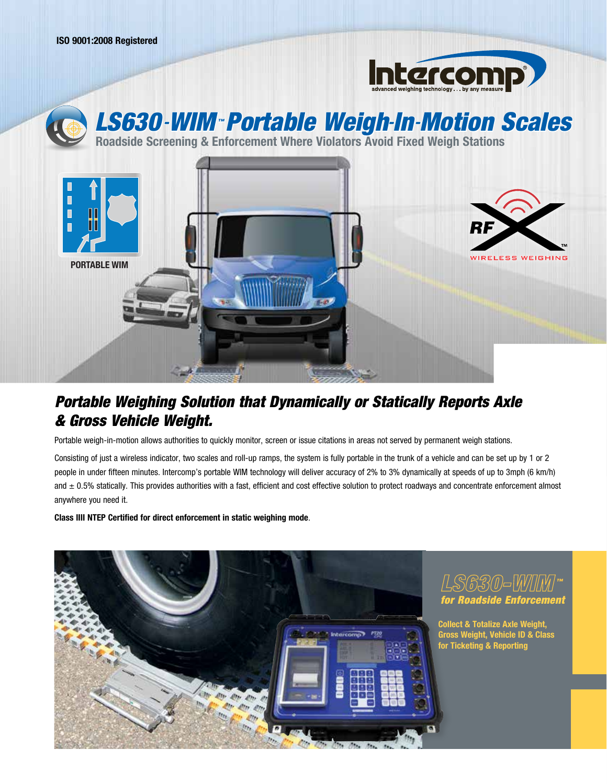



## *Portable Weighing Solution that Dynamically or Statically Reports Axle & Gross Vehicle Weight.*

Portable weigh-in-motion allows authorities to quickly monitor, screen or issue citations in areas not served by permanent weigh stations.

Consisting of just a wireless indicator, two scales and roll-up ramps, the system is fully portable in the trunk of a vehicle and can be set up by 1 or 2 people in under fifteen minutes. Intercomp's portable WIM technology will deliver accuracy of 2% to 3% dynamically at speeds of up to 3mph (6 km/h) and  $\pm$  0.5% statically. This provides authorities with a fast, efficient and cost effective solution to protect roadways and concentrate enforcement almost anywhere you need it.

**Class lIII NTEP Certified for direct enforcement in static weighing mode**.



## *™ for Roadside Enforcement*

**Collect & Totalize Axle Weight, Gross Weight, Vehicle ID & Class for Ticketing & Reporting**